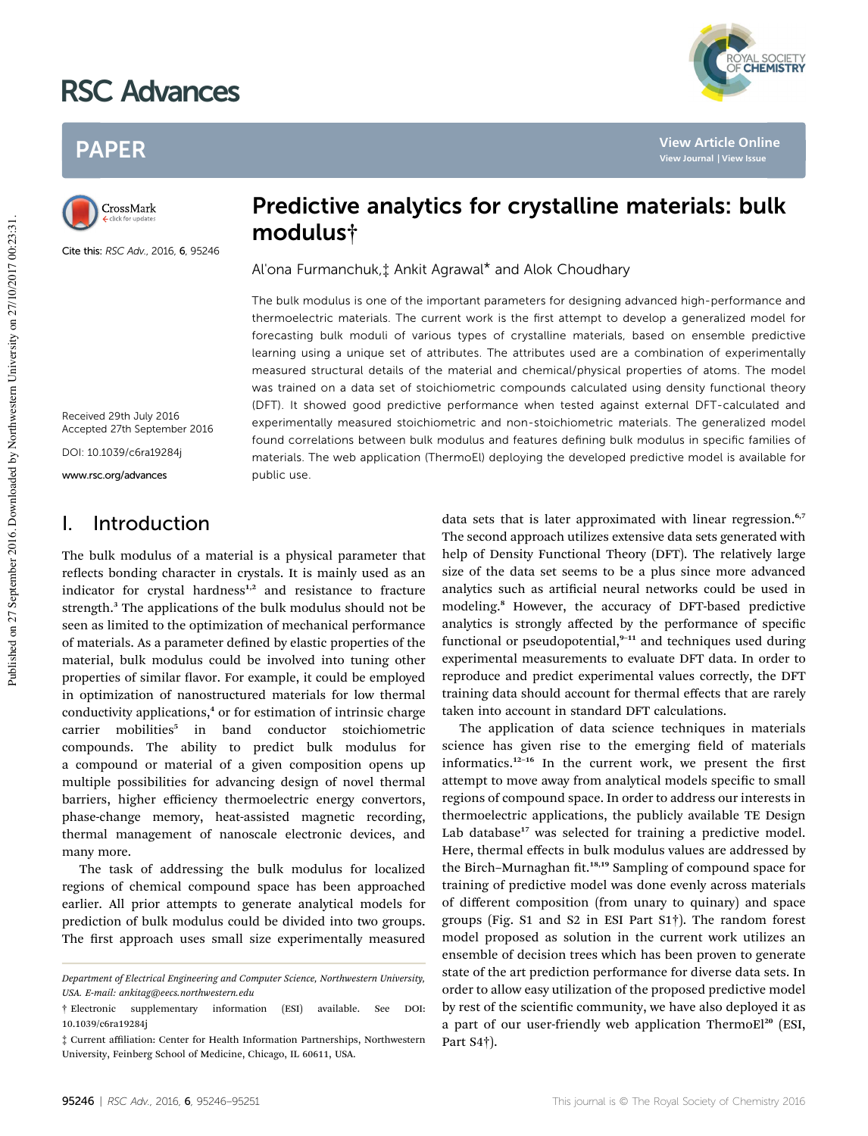# RSC Advances

## PAPER

CrossMark

Cite this: RSC Adv., 2016, 6, 95246

Received 29th July 2016 Accepted 27th September 2016

DOI: 10.1039/c6ra19284j

www.rsc.org/advances

## I. Introduction

The bulk modulus of a material is a physical parameter that reflects bonding character in crystals. It is mainly used as an indicator for crystal hardness<sup>1,2</sup> and resistance to fracture strength.<sup>3</sup> The applications of the bulk modulus should not be seen as limited to the optimization of mechanical performance of materials. As a parameter defined by elastic properties of the material, bulk modulus could be involved into tuning other properties of similar flavor. For example, it could be employed in optimization of nanostructured materials for low thermal conductivity applications,<sup>4</sup> or for estimation of intrinsic charge carrier mobilities<sup>5</sup> in band conductor stoichiometric compounds. The ability to predict bulk modulus for a compound or material of a given composition opens up multiple possibilities for advancing design of novel thermal barriers, higher efficiency thermoelectric energy convertors, phase-change memory, heat-assisted magnetic recording, thermal management of nanoscale electronic devices, and many more.

The task of addressing the bulk modulus for localized regions of chemical compound space has been approached earlier. All prior attempts to generate analytical models for prediction of bulk modulus could be divided into two groups. The first approach uses small size experimentally measured

## Predictive analytics for crystalline materials: bulk modulus†

Al'ona Furmanchuk,‡ Ankit Agrawal\* and Alok Choudhary

The bulk modulus is one of the important parameters for designing advanced high-performance and thermoelectric materials. The current work is the first attempt to develop a generalized model for forecasting bulk moduli of various types of crystalline materials, based on ensemble predictive learning using a unique set of attributes. The attributes used are a combination of experimentally measured structural details of the material and chemical/physical properties of atoms. The model was trained on a data set of stoichiometric compounds calculated using density functional theory (DFT). It showed good predictive performance when tested against external DFT-calculated and experimentally measured stoichiometric and non-stoichiometric materials. The generalized model found correlations between bulk modulus and features defining bulk modulus in specific families of materials. The web application (ThermoEl) deploying the developed predictive model is available for public use.

> data sets that is later approximated with linear regression.<sup>6,7</sup> The second approach utilizes extensive data sets generated with help of Density Functional Theory (DFT). The relatively large size of the data set seems to be a plus since more advanced analytics such as artificial neural networks could be used in modeling.<sup>8</sup> However, the accuracy of DFT-based predictive analytics is strongly affected by the performance of specific functional or pseudopotential, $9-11$  and techniques used during experimental measurements to evaluate DFT data. In order to reproduce and predict experimental values correctly, the DFT training data should account for thermal effects that are rarely taken into account in standard DFT calculations.

> The application of data science techniques in materials science has given rise to the emerging field of materials informatics.<sup>12-16</sup> In the current work, we present the first attempt to move away from analytical models specific to small regions of compound space. In order to address our interests in thermoelectric applications, the publicly available TE Design Lab database<sup>17</sup> was selected for training a predictive model. Here, thermal effects in bulk modulus values are addressed by the Birch-Murnaghan fit.<sup>18,19</sup> Sampling of compound space for training of predictive model was done evenly across materials of different composition (from unary to quinary) and space groups (Fig. S1 and S2 in ESI Part S1†). The random forest model proposed as solution in the current work utilizes an ensemble of decision trees which has been proven to generate state of the art prediction performance for diverse data sets. In order to allow easy utilization of the proposed predictive model by rest of the scientific community, we have also deployed it as a part of our user-friendly web application ThermoEl<sup>20</sup> (ESI, Part S4†).

YAL SOCIETY<br>**CHEMISTRY** 

**[View Article Online](http://dx.doi.org/10.1039/c6ra19284j) [View Journal](http://pubs.rsc.org/en/journals/journal/RA) [| View Issue](http://pubs.rsc.org/en/journals/journal/RA?issueid=RA006097)**

Department of Electrical Engineering and Computer Science, Northwestern University, USA. E-mail: ankitag@eecs.northwestern.edu

<sup>†</sup> Electronic supplementary information (ESI) available. See DOI: 10.1039/c6ra19284j

<sup>‡</sup> Current affiliation: Center for Health Information Partnerships, Northwestern University, Feinberg School of Medicine, Chicago, IL 60611, USA.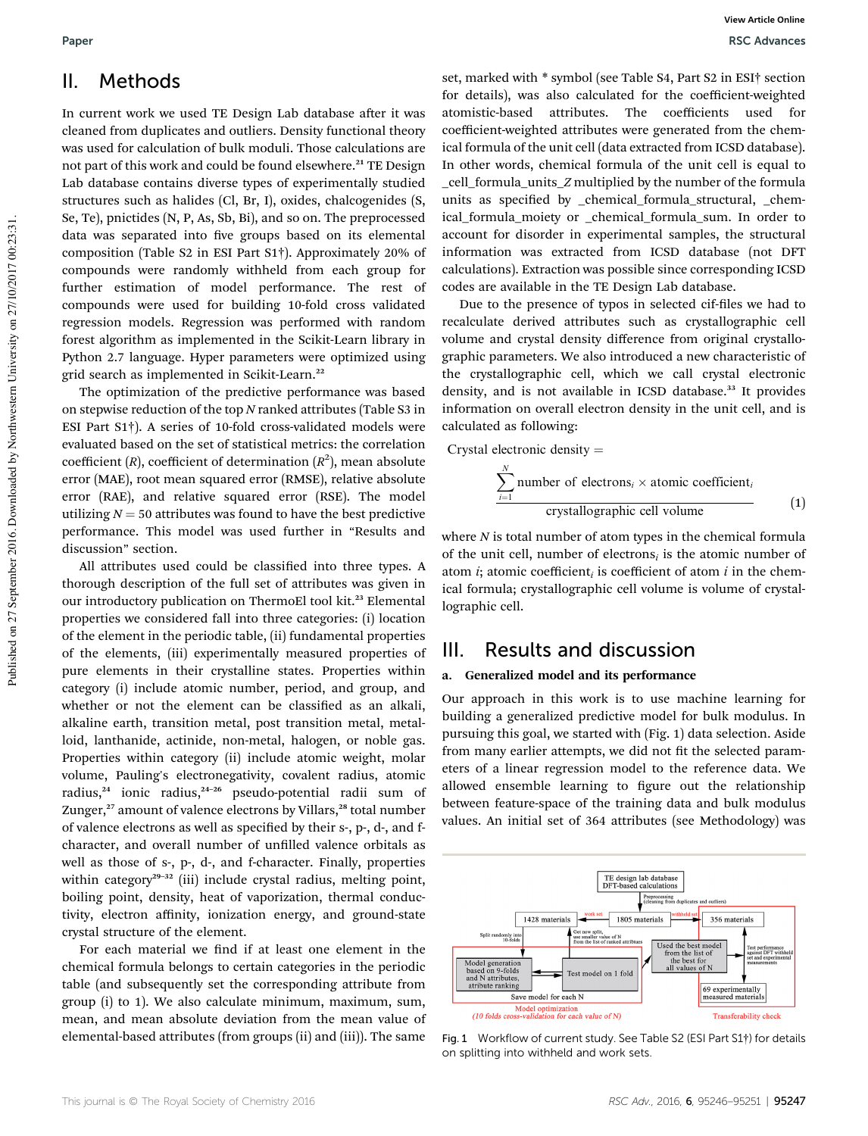## II. Methods

In current work we used TE Design Lab database after it was cleaned from duplicates and outliers. Density functional theory was used for calculation of bulk moduli. Those calculations are not part of this work and could be found elsewhere.<sup>21</sup> TE Design Lab database contains diverse types of experimentally studied structures such as halides (Cl, Br, I), oxides, chalcogenides (S, Se, Te), pnictides (N, P, As, Sb, Bi), and so on. The preprocessed data was separated into five groups based on its elemental composition (Table S2 in ESI Part S1†). Approximately 20% of compounds were randomly withheld from each group for further estimation of model performance. The rest of compounds were used for building 10-fold cross validated regression models. Regression was performed with random forest algorithm as implemented in the Scikit-Learn library in Python 2.7 language. Hyper parameters were optimized using grid search as implemented in Scikit-Learn.<sup>22</sup>

The optimization of the predictive performance was based on stepwise reduction of the top N ranked attributes (Table S3 in ESI Part S1†). A series of 10-fold cross-validated models were evaluated based on the set of statistical metrics: the correlation coefficient (R), coefficient of determination  $(R^2)$ , mean absolute error (MAE), root mean squared error (RMSE), relative absolute error (RAE), and relative squared error (RSE). The model utilizing  $N = 50$  attributes was found to have the best predictive performance. This model was used further in "Results and discussion" section.

All attributes used could be classified into three types. A thorough description of the full set of attributes was given in our introductory publication on ThermoEl tool kit.<sup>23</sup> Elemental properties we considered fall into three categories: (i) location of the element in the periodic table, (ii) fundamental properties of the elements, (iii) experimentally measured properties of pure elements in their crystalline states. Properties within category (i) include atomic number, period, and group, and whether or not the element can be classified as an alkali, alkaline earth, transition metal, post transition metal, metalloid, lanthanide, actinide, non-metal, halogen, or noble gas. Properties within category (ii) include atomic weight, molar volume, Pauling's electronegativity, covalent radius, atomic radius,<sup>24</sup> ionic radius,<sup>24-26</sup> pseudo-potential radii sum of Zunger,<sup>27</sup> amount of valence electrons by Villars,<sup>28</sup> total number of valence electrons as well as specified by their s-, p-, d-, and fcharacter, and overall number of unfilled valence orbitals as well as those of s-, p-, d-, and f-character. Finally, properties within category<sup>29-32</sup> (iii) include crystal radius, melting point, boiling point, density, heat of vaporization, thermal conductivity, electron affinity, ionization energy, and ground-state crystal structure of the element.

For each material we find if at least one element in the chemical formula belongs to certain categories in the periodic table (and subsequently set the corresponding attribute from group (i) to 1). We also calculate minimum, maximum, sum, mean, and mean absolute deviation from the mean value of elemental-based attributes (from groups (ii) and (iii)). The same

set, marked with \* symbol (see Table S4, Part S2 in ESI† section for details), was also calculated for the coefficient-weighted atomistic-based attributes. The coefficients used for coefficient-weighted attributes were generated from the chemical formula of the unit cell (data extracted from ICSD database). In other words, chemical formula of the unit cell is equal to \_cell\_formula\_units\_Z multiplied by the number of the formula units as specified by chemical formula structural, chemical\_formula\_moiety or \_chemical\_formula\_sum. In order to account for disorder in experimental samples, the structural information was extracted from ICSD database (not DFT calculations). Extraction was possible since corresponding ICSD codes are available in the TE Design Lab database.

Due to the presence of typos in selected cif-files we had to recalculate derived attributes such as crystallographic cell volume and crystal density difference from original crystallographic parameters. We also introduced a new characteristic of the crystallographic cell, which we call crystal electronic density, and is not available in ICSD database.<sup>33</sup> It provides information on overall electron density in the unit cell, and is calculated as following:

Crystal electronic density  $=$ 

$$
\frac{\sum_{i=1}^{N} \text{number of electrons}_i \times \text{atomic coefficient}_i}{\text{crystallographic cell volume}} \tag{1}
$$

where  $N$  is total number of atom types in the chemical formula of the unit cell, number of electrons<sub>i</sub> is the atomic number of atom *i*; atomic coefficient<sub>i</sub> is coefficient of atom *i* in the chemical formula; crystallographic cell volume is volume of crystallographic cell.

## III. Results and discussion

#### a. Generalized model and its performance

Our approach in this work is to use machine learning for building a generalized predictive model for bulk modulus. In pursuing this goal, we started with (Fig. 1) data selection. Aside from many earlier attempts, we did not fit the selected parameters of a linear regression model to the reference data. We allowed ensemble learning to figure out the relationship between feature-space of the training data and bulk modulus values. An initial set of 364 attributes (see Methodology) was



Fig. 1 Workflow of current study. See Table S2 (ESI Part S1†) for details on splitting into withheld and work sets.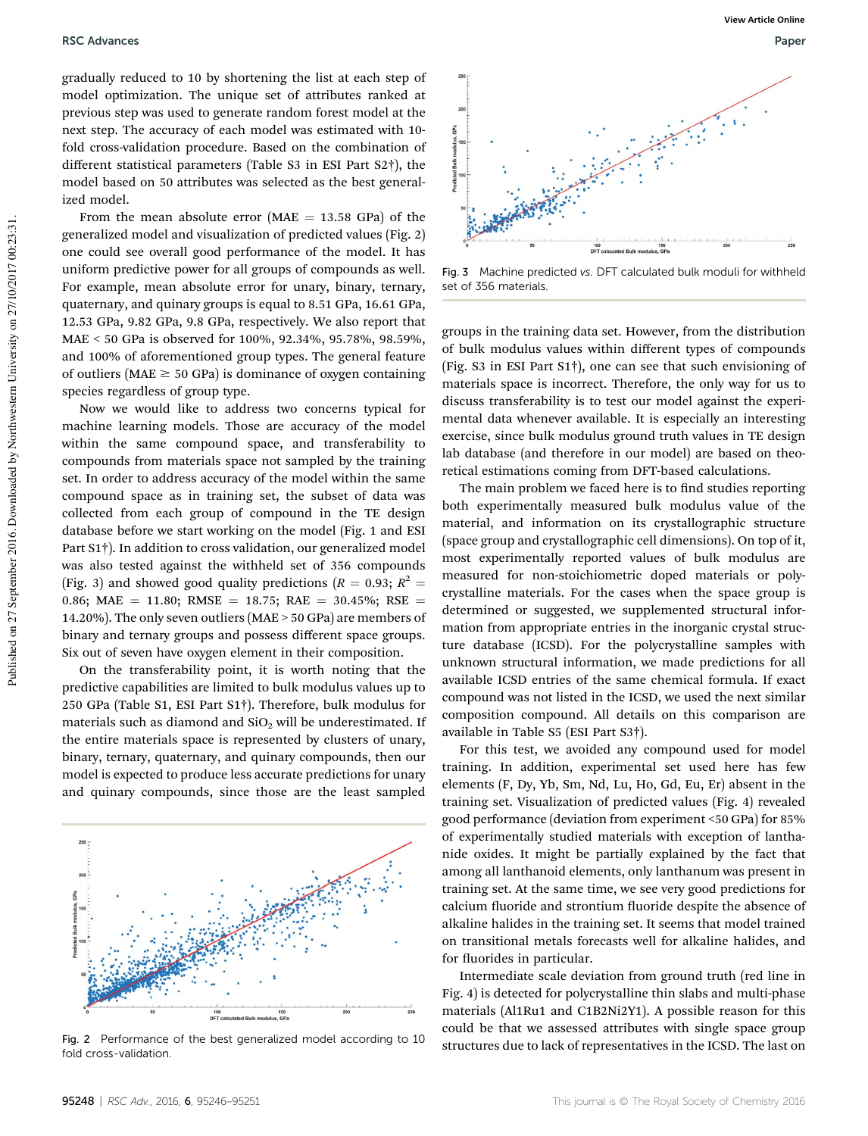gradually reduced to 10 by shortening the list at each step of model optimization. The unique set of attributes ranked at previous step was used to generate random forest model at the next step. The accuracy of each model was estimated with 10 fold cross-validation procedure. Based on the combination of different statistical parameters (Table S3 in ESI Part S2†), the model based on 50 attributes was selected as the best generalized model.

From the mean absolute error ( $MAE = 13.58$  GPa) of the generalized model and visualization of predicted values (Fig. 2) one could see overall good performance of the model. It has uniform predictive power for all groups of compounds as well. For example, mean absolute error for unary, binary, ternary, quaternary, and quinary groups is equal to 8.51 GPa, 16.61 GPa, 12.53 GPa, 9.82 GPa, 9.8 GPa, respectively. We also report that MAE < 50 GPa is observed for 100%, 92.34%, 95.78%, 98.59%, and 100% of aforementioned group types. The general feature of outliers ( $MAE \geq 50$  GPa) is dominance of oxygen containing species regardless of group type.

Now we would like to address two concerns typical for machine learning models. Those are accuracy of the model within the same compound space, and transferability to compounds from materials space not sampled by the training set. In order to address accuracy of the model within the same compound space as in training set, the subset of data was collected from each group of compound in the TE design database before we start working on the model (Fig. 1 and ESI Part S1†). In addition to cross validation, our generalized model was also tested against the withheld set of 356 compounds (Fig. 3) and showed good quality predictions ( $R = 0.93$ ;  $R^2 =$ 0.86; MAE = 11.80; RMSE = 18.75; RAE = 30.45%; RSE = 14.20%). The only seven outliers (MAE > 50 GPa) are members of binary and ternary groups and possess different space groups. Six out of seven have oxygen element in their composition.

On the transferability point, it is worth noting that the predictive capabilities are limited to bulk modulus values up to 250 GPa (Table S1, ESI Part S1†). Therefore, bulk modulus for materials such as diamond and  $SiO<sub>2</sub>$  will be underestimated. If the entire materials space is represented by clusters of unary, binary, ternary, quaternary, and quinary compounds, then our model is expected to produce less accurate predictions for unary and quinary compounds, since those are the least sampled



fold cross-validation.



Fig. 3 Machine predicted vs. DFT calculated bulk moduli for withheld set of 356 materials.

groups in the training data set. However, from the distribution of bulk modulus values within different types of compounds (Fig. S3 in ESI Part S1†), one can see that such envisioning of materials space is incorrect. Therefore, the only way for us to discuss transferability is to test our model against the experimental data whenever available. It is especially an interesting exercise, since bulk modulus ground truth values in TE design lab database (and therefore in our model) are based on theoretical estimations coming from DFT-based calculations.

The main problem we faced here is to find studies reporting both experimentally measured bulk modulus value of the material, and information on its crystallographic structure (space group and crystallographic cell dimensions). On top of it, most experimentally reported values of bulk modulus are measured for non-stoichiometric doped materials or polycrystalline materials. For the cases when the space group is determined or suggested, we supplemented structural information from appropriate entries in the inorganic crystal structure database (ICSD). For the polycrystalline samples with unknown structural information, we made predictions for all available ICSD entries of the same chemical formula. If exact compound was not listed in the ICSD, we used the next similar composition compound. All details on this comparison are available in Table S5 (ESI Part S3†).

For this test, we avoided any compound used for model training. In addition, experimental set used here has few elements (F, Dy, Yb, Sm, Nd, Lu, Ho, Gd, Eu, Er) absent in the training set. Visualization of predicted values (Fig. 4) revealed good performance (deviation from experiment <50 GPa) for 85% of experimentally studied materials with exception of lanthanide oxides. It might be partially explained by the fact that among all lanthanoid elements, only lanthanum was present in training set. At the same time, we see very good predictions for calcium fluoride and strontium fluoride despite the absence of alkaline halides in the training set. It seems that model trained on transitional metals forecasts well for alkaline halides, and for fluorides in particular.

Intermediate scale deviation from ground truth (red line in Fig. 4) is detected for polycrystalline thin slabs and multi-phase materials (Al1Ru1 and C1B2Ni2Y1). A possible reason for this could be that we assessed attributes with single space group Fig. 2 Performance of the best generalized model according to 10 structures due to lack of representatives in the ICSD. The last on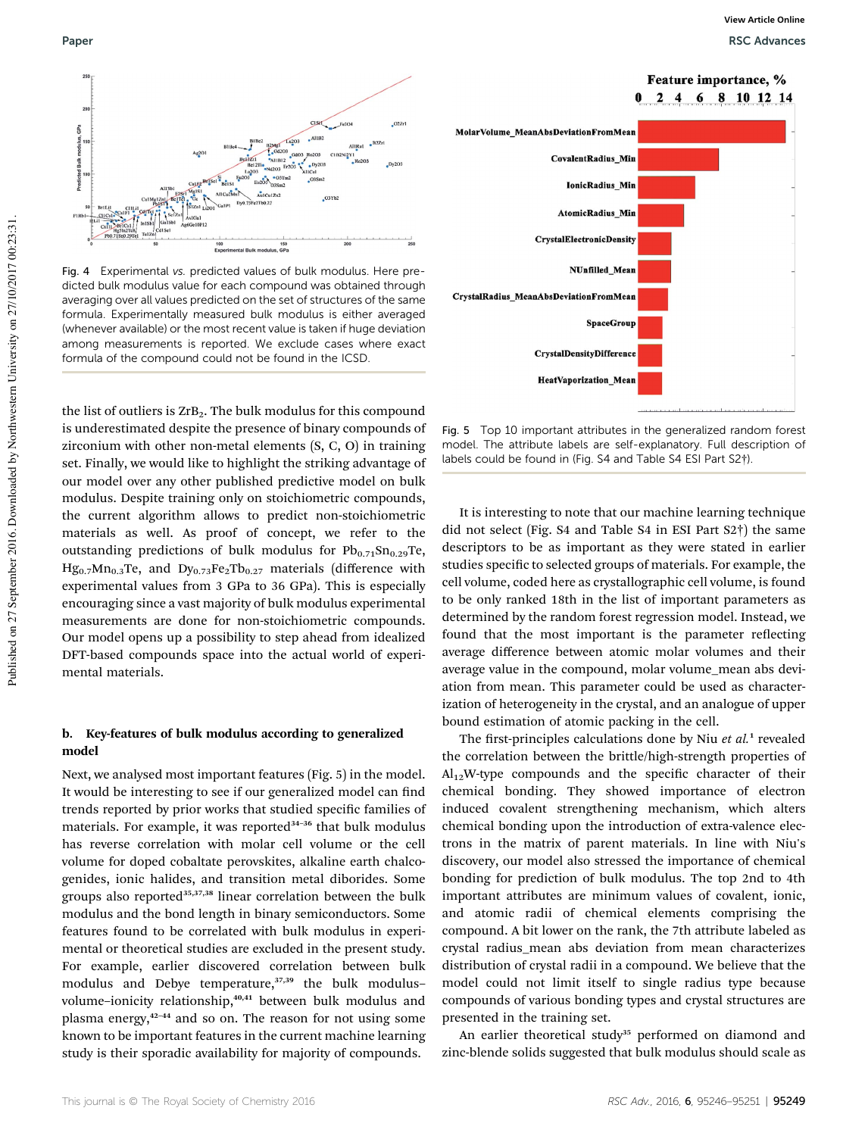Feature importance, %



Fig. 4 Experimental vs. predicted values of bulk modulus. Here predicted bulk modulus value for each compound was obtained through averaging over all values predicted on the set of structures of the same formula. Experimentally measured bulk modulus is either averaged (whenever available) or the most recent value is taken if huge deviation among measurements is reported. We exclude cases where exact formula of the compound could not be found in the ICSD.

the list of outliers is  $ZrB_2$ . The bulk modulus for this compound is underestimated despite the presence of binary compounds of zirconium with other non-metal elements (S, C, O) in training set. Finally, we would like to highlight the striking advantage of our model over any other published predictive model on bulk modulus. Despite training only on stoichiometric compounds, the current algorithm allows to predict non-stoichiometric materials as well. As proof of concept, we refer to the outstanding predictions of bulk modulus for  $Pb_{0.71}Sn_{0.29}Te$ ,  $Hg_{0.7}Mn_{0.3}Te$ , and  $Dy_{0.73}Fe_2Tb_{0.27}$  materials (difference with experimental values from 3 GPa to 36 GPa). This is especially encouraging since a vast majority of bulk modulus experimental measurements are done for non-stoichiometric compounds. Our model opens up a possibility to step ahead from idealized DFT-based compounds space into the actual world of experimental materials.

#### b. Key-features of bulk modulus according to generalized model

Next, we analysed most important features (Fig. 5) in the model. It would be interesting to see if our generalized model can find trends reported by prior works that studied specific families of materials. For example, it was reported<sup>34-36</sup> that bulk modulus has reverse correlation with molar cell volume or the cell volume for doped cobaltate perovskites, alkaline earth chalcogenides, ionic halides, and transition metal diborides. Some groups also reported<sup>35,37,38</sup> linear correlation between the bulk modulus and the bond length in binary semiconductors. Some features found to be correlated with bulk modulus in experimental or theoretical studies are excluded in the present study. For example, earlier discovered correlation between bulk modulus and Debye temperature,<sup>37,39</sup> the bulk modulusvolume-ionicity relationship,<sup>40,41</sup> between bulk modulus and plasma energy,<sup>42-44</sup> and so on. The reason for not using some known to be important features in the current machine learning study is their sporadic availability for majority of compounds.



Fig. 5 Top 10 important attributes in the generalized random forest model. The attribute labels are self-explanatory. Full description of labels could be found in (Fig. S4 and Table S4 ESI Part S2†).

It is interesting to note that our machine learning technique did not select (Fig. S4 and Table S4 in ESI Part S2†) the same descriptors to be as important as they were stated in earlier studies specific to selected groups of materials. For example, the cell volume, coded here as crystallographic cell volume, is found to be only ranked 18th in the list of important parameters as determined by the random forest regression model. Instead, we found that the most important is the parameter reflecting average difference between atomic molar volumes and their average value in the compound, molar volume\_mean abs deviation from mean. This parameter could be used as characterization of heterogeneity in the crystal, and an analogue of upper bound estimation of atomic packing in the cell.

The first-principles calculations done by Niu  $et$   $al.^1$  revealed the correlation between the brittle/high-strength properties of  $Al_{12}$ W-type compounds and the specific character of their chemical bonding. They showed importance of electron induced covalent strengthening mechanism, which alters chemical bonding upon the introduction of extra-valence electrons in the matrix of parent materials. In line with Niu's discovery, our model also stressed the importance of chemical bonding for prediction of bulk modulus. The top 2nd to 4th important attributes are minimum values of covalent, ionic, and atomic radii of chemical elements comprising the compound. A bit lower on the rank, the 7th attribute labeled as crystal radius\_mean abs deviation from mean characterizes distribution of crystal radii in a compound. We believe that the model could not limit itself to single radius type because compounds of various bonding types and crystal structures are presented in the training set.

An earlier theoretical study<sup>35</sup> performed on diamond and zinc-blende solids suggested that bulk modulus should scale as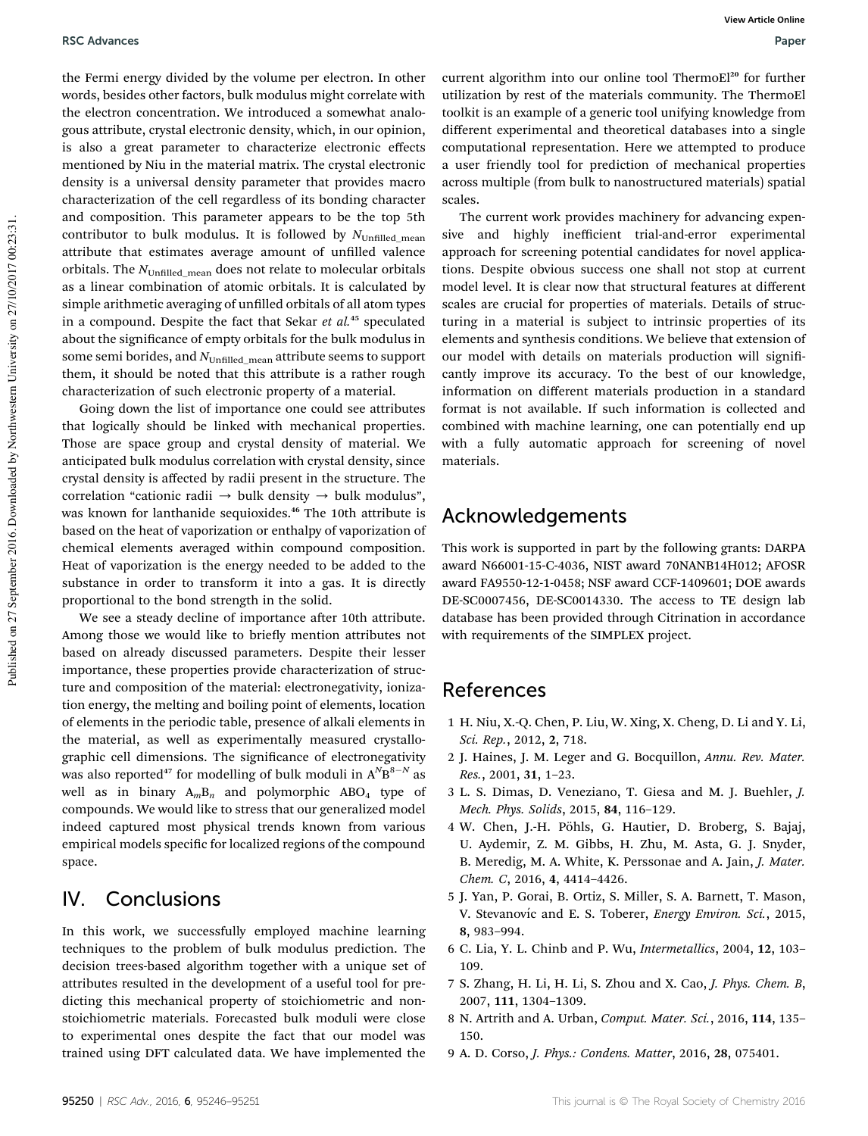the Fermi energy divided by the volume per electron. In other words, besides other factors, bulk modulus might correlate with the electron concentration. We introduced a somewhat analogous attribute, crystal electronic density, which, in our opinion, is also a great parameter to characterize electronic effects mentioned by Niu in the material matrix. The crystal electronic density is a universal density parameter that provides macro characterization of the cell regardless of its bonding character and composition. This parameter appears to be the top 5th contributor to bulk modulus. It is followed by  $N_{\text{Unfilled mean}}$ attribute that estimates average amount of unfilled valence orbitals. The  $N_{\text{Unfilled mean}}$  does not relate to molecular orbitals as a linear combination of atomic orbitals. It is calculated by simple arithmetic averaging of unfilled orbitals of all atom types in a compound. Despite the fact that Sekar  $et$   $al$ .<sup>45</sup> speculated about the significance of empty orbitals for the bulk modulus in some semi borides, and  $N_{\text{Unfilled mean}}$  attribute seems to support them, it should be noted that this attribute is a rather rough characterization of such electronic property of a material.

Going down the list of importance one could see attributes that logically should be linked with mechanical properties. Those are space group and crystal density of material. We anticipated bulk modulus correlation with crystal density, since crystal density is affected by radii present in the structure. The correlation "cationic radii  $\rightarrow$  bulk density  $\rightarrow$  bulk modulus", was known for lanthanide sequioxides.<sup>46</sup> The 10th attribute is based on the heat of vaporization or enthalpy of vaporization of chemical elements averaged within compound composition. Heat of vaporization is the energy needed to be added to the substance in order to transform it into a gas. It is directly proportional to the bond strength in the solid.

We see a steady decline of importance after 10th attribute. Among those we would like to briefly mention attributes not based on already discussed parameters. Despite their lesser importance, these properties provide characterization of structure and composition of the material: electronegativity, ionization energy, the melting and boiling point of elements, location of elements in the periodic table, presence of alkali elements in the material, as well as experimentally measured crystallographic cell dimensions. The significance of electronegativity was also reported<sup>47</sup> for modelling of bulk moduli in  $A^{N}B^{8-N}$  as well as in binary  $A_mB_n$  and polymorphic ABO<sub>4</sub> type of compounds. We would like to stress that our generalized model indeed captured most physical trends known from various empirical models specific for localized regions of the compound space.

## IV. Conclusions

In this work, we successfully employed machine learning techniques to the problem of bulk modulus prediction. The decision trees-based algorithm together with a unique set of attributes resulted in the development of a useful tool for predicting this mechanical property of stoichiometric and nonstoichiometric materials. Forecasted bulk moduli were close to experimental ones despite the fact that our model was trained using DFT calculated data. We have implemented the

current algorithm into our online tool ThermoEl<sup>20</sup> for further utilization by rest of the materials community. The ThermoEl toolkit is an example of a generic tool unifying knowledge from different experimental and theoretical databases into a single computational representation. Here we attempted to produce a user friendly tool for prediction of mechanical properties across multiple (from bulk to nanostructured materials) spatial scales.

The current work provides machinery for advancing expensive and highly inefficient trial-and-error experimental approach for screening potential candidates for novel applications. Despite obvious success one shall not stop at current model level. It is clear now that structural features at different scales are crucial for properties of materials. Details of structuring in a material is subject to intrinsic properties of its elements and synthesis conditions. We believe that extension of our model with details on materials production will significantly improve its accuracy. To the best of our knowledge, information on different materials production in a standard format is not available. If such information is collected and combined with machine learning, one can potentially end up with a fully automatic approach for screening of novel materials.

## Acknowledgements

This work is supported in part by the following grants: DARPA award N66001-15-C-4036, NIST award 70NANB14H012; AFOSR award FA9550-12-1-0458; NSF award CCF-1409601; DOE awards DE-SC0007456, DE-SC0014330. The access to TE design lab database has been provided through Citrination in accordance with requirements of the SIMPLEX project.

## References

- 1 H. Niu, X.-Q. Chen, P. Liu, W. Xing, X. Cheng, D. Li and Y. Li, Sci. Rep., 2012, 2, 718.
- 2 J. Haines, J. M. Leger and G. Bocquillon, Annu. Rev. Mater. Res., 2001, 31, 1–23.
- 3 L. S. Dimas, D. Veneziano, T. Giesa and M. J. Buehler, J. Mech. Phys. Solids, 2015, 84, 116–129.
- 4 W. Chen, J.-H. Pöhls, G. Hautier, D. Broberg, S. Bajaj, U. Aydemir, Z. M. Gibbs, H. Zhu, M. Asta, G. J. Snyder, B. Meredig, M. A. White, K. Perssonae and A. Jain, J. Mater. Chem. C, 2016, 4, 4414–4426.
- 5 J. Yan, P. Gorai, B. Ortiz, S. Miller, S. A. Barnett, T. Mason, V. Stevanovíc and E. S. Toberer, Energy Environ. Sci., 2015, 8, 983–994.
- 6 C. Lia, Y. L. Chinb and P. Wu, Intermetallics, 2004, 12, 103– 109.
- 7 S. Zhang, H. Li, H. Li, S. Zhou and X. Cao, J. Phys. Chem. B, 2007, 111, 1304–1309.
- 8 N. Artrith and A. Urban, Comput. Mater. Sci., 2016, 114, 135– 150.
- 9 A. D. Corso, J. Phys.: Condens. Matter, 2016, 28, 075401.